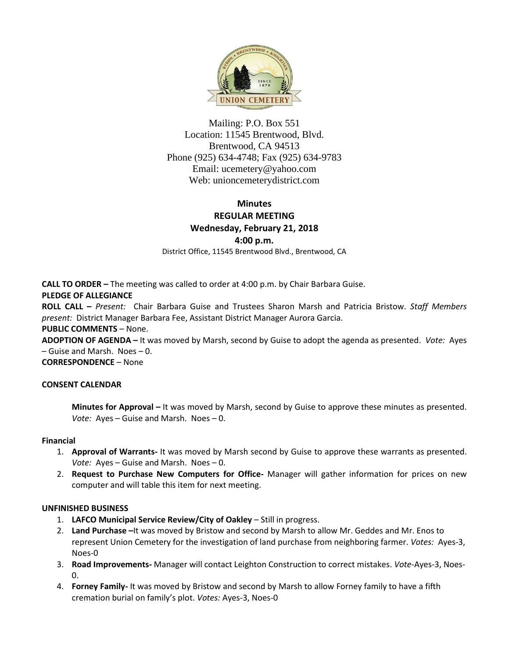

Mailing: P.O. Box 551 Location: 11545 Brentwood, Blvd. Brentwood, CA 94513 Phone (925) 634-4748; Fax (925) 634-9783 Email: [ucemetery@yahoo.com](mailto:ucemetery@yahoo.com) Web: unioncemeterydistrict.com

# **Minutes REGULAR MEETING Wednesday, February 21, 2018 4:00 p.m.**

District Office, 11545 Brentwood Blvd., Brentwood, CA

**CALL TO ORDER –** The meeting was called to order at 4:00 p.m. by Chair Barbara Guise.

### **PLEDGE OF ALLEGIANCE**

**ROLL CALL –** *Present:* Chair Barbara Guise and Trustees Sharon Marsh and Patricia Bristow. *Staff Members present:* District Manager Barbara Fee, Assistant District Manager Aurora Garcia.

#### **PUBLIC COMMENTS** – None.

**ADOPTION OF AGENDA –** It was moved by Marsh, second by Guise to adopt the agenda as presented. *Vote:* Ayes – Guise and Marsh. Noes – 0.

**CORRESPONDENCE** – None

#### **CONSENT CALENDAR**

**Minutes for Approval –** It was moved by Marsh, second by Guise to approve these minutes as presented. *Vote:* Ayes – Guise and Marsh. Noes – 0.

#### **Financial**

- 1. **Approval of Warrants-** It was moved by Marsh second by Guise to approve these warrants as presented. *Vote:* Ayes – Guise and Marsh. Noes – 0.
- 2. **Request to Purchase New Computers for Office-** Manager will gather information for prices on new computer and will table this item for next meeting.

#### **UNFINISHED BUSINESS**

- 1. **LAFCO Municipal Service Review/City of Oakley** Still in progress.
- 2. **Land Purchase –**It was moved by Bristow and second by Marsh to allow Mr. Geddes and Mr. Enos to represent Union Cemetery for the investigation of land purchase from neighboring farmer. *Votes:* Ayes-3, Noes-0
- 3. **Road Improvements-** Manager will contact Leighton Construction to correct mistakes. *Vote-*Ayes-3, Noes- $\Omega$
- 4. **Forney Family-** It was moved by Bristow and second by Marsh to allow Forney family to have a fifth cremation burial on family's plot. *Votes:* Ayes-3, Noes-0